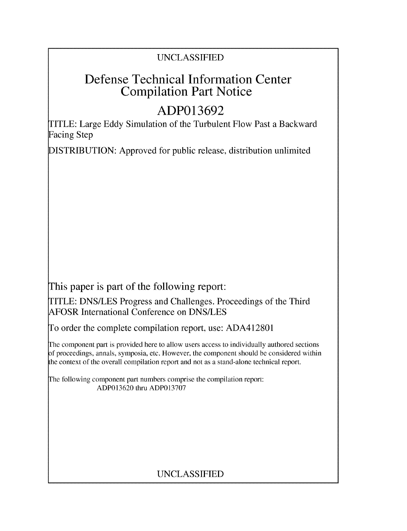# UNCLASSIFIED

# Defense Technical Information Center Compilation Part Notice

# **ADP013692**

TITLE: Large Eddy Simulation of the Turbulent Flow Past a Backward Facing Step

DISTRIBUTION: Approved for public release, distribution unlimited

This paper is part of the following report:

TITLE: DNS/LES Progress and Challenges. Proceedings of the Third AFOSR International Conference on DNS/LES

To order the complete compilation report, use: ADA412801

The component part is provided here to allow users access to individually authored sections f proceedings, annals, symposia, etc. However, the component should be considered within the context of the overall compilation report and not as a stand-alone technical report.

The following component part numbers comprise the compilation report: ADP013620 thru ADP013707

# UNCLASSIFIED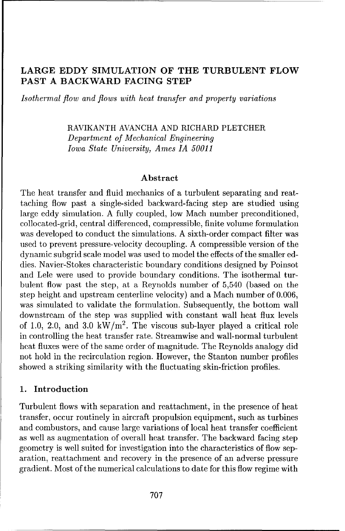# LARGE EDDY SIMULATION OF THE **TURBULENT** FLOW **PAST A** BACKWARD **FACING STEP**

*Isothermal flow and flows with heat* transfer and property *variations*

RAVIKANTH AVANCHA AND RICHARD PLETCHER Department *of Mechanical* Engineering *Iowa State* University, Ames *IA 50011*

#### Abstract

The heat transfer and fluid mechanics of a turbulent separating and reattaching flow past a single-sided backward-facing step are studied using large eddy simulation. A fully coupled, low Mach number preconditioned, collocated-grid, central differenced, compressible, finite volume formulation was developed to conduct the simulations. A sixth-order compact filter was used to prevent pressure-velocity decoupling. A compressible version of the dynamic subgrid scale model was used to model the effects of the smaller eddies. Navier-Stokes characteristic boundary conditions designed by Poinsot and Lele were used to provide boundary conditions. The isothermal turbulent flow past the step, at a Reynolds number of 5,540 (based on the step height and upstream centerline velocity) and a Mach number of 0.006, was simulated to validate the formulation. Subsequently, the bottom wall downstream of the step was supplied with constant wall heat flux levels of 1.0, 2.0, and 3.0 kW/m<sup>2</sup>. The viscous sub-layer played a critical role in controlling the heat transfer rate. Streamwise and wall-normal turbulent heat fluxes were of the same order of magnitude. The Reynolds analogy did not hold in the recirculation region. However, the Stanton number profiles showed a striking similarity with the fluctuating skin-friction profiles.

## 1. Introduction

Turbulent flows with separation and reattachment, in the presence of heat transfer, occur routinely in aircraft propulsion equipment, such as turbines and combustors, and cause large variations of local heat transfer coefficient as well as augmentation of overall heat transfer. The backward facing step geometry is well suited for investigation into the characteristics of flow separation, reattachment and recovery in the presence of an adverse pressure gradient. Most of the numerical calculations to date for this flow regime with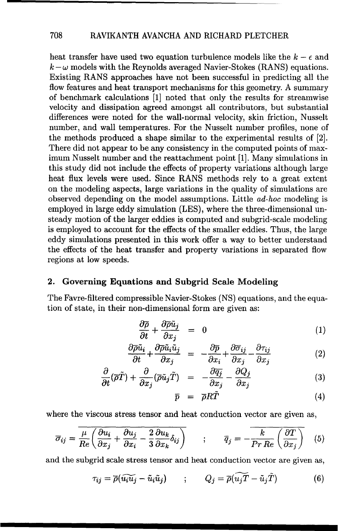#### 708 RAVIKANTH AVANCHA AND RICHARD PLETCHER

heat transfer have used two equation turbulence models like the  $k - \epsilon$  and  $k - \omega$  models with the Reynolds averaged Navier-Stokes (RANS) equations. Existing RANS approaches have not been successful in predicting all the flow features and heat transport mechanisms for this geometry. A summary of benchmark calculations [1] noted that only the results for streamwise velocity and dissipation agreed amongst all contributors, but substantial differences were noted for the wall-normal velocity, skin friction, Nusselt number, and wall temperatures. For the Nusselt number profiles, none of the methods produced a shape similar to the experimental results of [2]. There did not appear to be any consistency in the computed points of maximum Nusselt number and the reattachment point [1]. Many simulations in this study did not include the effects of property variations although large heat flux levels were used. Since RANS methods rely to a great extent on the modeling aspects, large variations in the quality of simulations are observed depending on the model assumptions. Little ad-hoc modeling is employed in large eddy simulation (LES), where the three-dimensional unsteady motion of the larger eddies is computed and subgrid-scale modeling is employed to account for the effects of the smaller eddies. Thus, the large eddy simulations presented in this work offer a way to better understand the effects of the heat transfer and property variations in separated flow regions at low speeds.

#### 2. Governing Equations and Subgrid Scale Modeling

The Favre-filtered compressible Navier-Stokes (NS) equations, and the equation of state, in their non-dimensional form are given as:

$$
\frac{\partial \overline{\rho}}{\partial t} + \frac{\partial \overline{\rho} \tilde{u}_j}{\partial x_j} = 0 \tag{1}
$$
\n
$$
\frac{\partial \overline{\rho} \tilde{u}_i}{\partial x_i} + \frac{\partial \overline{\rho} \tilde{u}_i \tilde{u}_j}{\partial x_j} = -\frac{\partial \overline{\rho}}{\partial x_i} + \frac{\partial \overline{\sigma}_{ij}}{\partial x_j} - \frac{\partial \tau_{ij}}{\partial x_j} \tag{2}
$$

$$
\frac{\partial \overline{\rho} \tilde{u}_i}{\partial t} + \frac{\partial \overline{\rho} \tilde{u}_i \tilde{u}_j}{\partial x_j} = -\frac{\partial \overline{p}}{\partial x_i} + \frac{\partial \overline{\sigma}_{ij}}{\partial x_j} - \frac{\partial \tau_{ij}}{\partial x_j}
$$
(2)

$$
\frac{\partial}{\partial t}(\overline{\rho}\tilde{T}) + \frac{\partial}{\partial x_j}(\overline{\rho}\tilde{u}_j\tilde{T}) = -\frac{\partial \overline{q_j}}{\partial x_j} - \frac{\partial Q_j}{\partial x_j}
$$
(3)

$$
\overline{p} = \overline{\rho} R \dot{T} \tag{4}
$$

where the viscous stress tensor and heat conduction vector are given as,

$$
\overline{\sigma}_{ij} = \frac{\overline{\mu}}{Re} \left( \frac{\partial u_i}{\partial x_j} + \frac{\partial u_j}{\partial x_i} - \frac{2}{3} \frac{\partial u_k}{\partial x_k} \delta_{ij} \right) \qquad ; \qquad \overline{q}_j = -\frac{k}{Pr \, Re} \left( \frac{\partial T}{\partial x_j} \right) \quad (5)
$$

and the subgrid scale stress tensor and heat conduction vector are given as,

$$
\tau_{ij} = \overline{\rho}(\widetilde{u_i u_j} - \tilde{u}_i \tilde{u}_j) \qquad ; \qquad Q_j = \overline{\rho}(\widetilde{u_j T} - \tilde{u}_j \tilde{T}) \qquad (6)
$$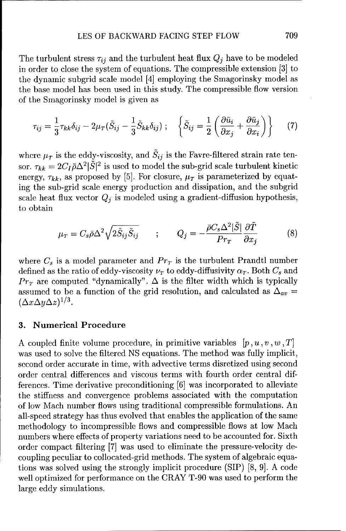The turbulent stress  $\tau_{ij}$  and the turbulent heat flux  $Q_i$  have to be modeled in order to close the system of equations. The compressible extension [3] to the dynamic subgrid scale model [4] employing the Smagorinsky model as the base model has been used in this study. The compressible flow version of the Smagorinsky model is given as

$$
\tau_{ij} = \frac{1}{3} \tau_{kk} \delta_{ij} - 2\mu_T (\tilde{S}_{ij} - \frac{1}{3} \tilde{S}_{kk} \delta_{ij}) ; \quad \left\{ \tilde{S}_{ij} = \frac{1}{2} \left( \frac{\partial \tilde{u}_i}{\partial x_j} + \frac{\partial \tilde{u}_j}{\partial x_i} \right) \right\} \tag{7}
$$

where  $\mu_T$  is the eddy-viscosity, and  $\tilde{S}_{ij}$  is the Favre-filtered strain rate ten- $\text{Sor.} \; \tau_{kk} = 2 C_I \bar{\rho} \Delta^2 |\tilde{S}|^2 \; \text{is used to model the sub-grid scale turbulent kinetic}$ energy,  $\tau_{kk}$ , as proposed by [5]. For closure,  $\mu_T$  is parameterized by equating the sub-grid scale energy production and dissipation, and the subgrid scale heat flux vector  $Q_i$  is modeled using a gradient-diffusion hypothesis, to obtain

$$
\mu_T = C_s \bar{\rho} \Delta^2 \sqrt{2 \tilde{S}_{ij} \tilde{S}_{ij}} \qquad ; \qquad Q_j = -\frac{\bar{\rho} C_s \Delta^2 |\tilde{S}|}{Pr_T} \frac{\partial \tilde{T}}{\partial x_j} \qquad (8)
$$

where  $C_s$  is a model parameter and  $Pr_T$  is the turbulent Prandtl number defined as the ratio of eddy-viscosity  $\nu_T$  to eddy-diffusivity  $\alpha_T$ . Both  $C_s$  and  $Pr_T$  are computed "dynamically".  $\Delta$  is the filter width which is typically assumed to be a function of the grid resolution, and calculated as  $\Delta_{av}$  =  $(\Delta x \Delta y \Delta z)^{1/3}$ .

#### 3. Numerical Procedure

A coupled finite volume procedure, in primitive variables  $[p, u, v, w, T]$ was used to solve the filtered NS equations. The method was fully implicit, second order accurate in time, with advective terms disretized using second order central differences and viscous terms with fourth order central differences. Time derivative preconditioning [6] was incorporated to alleviate the stiffness and convergence problems associated with the computation of low Mach number flows using traditional compressible formulations. An all-speed strategy has thus evolved that enables the application of the same methodology to incompressible flows and compressible flows at low Mach numbers where effects of property variations need to be accounted for. Sixth order compact filtering [7] was used to eliminate the pressure-velocity decoupling peculiar to collocated-grid methods. The system of algebraic equations was solved using the strongly implicit procedure (SIP) [8, 9]. A code well optimized for performance on the CRAY T-90 was used to perform the large eddy simulations.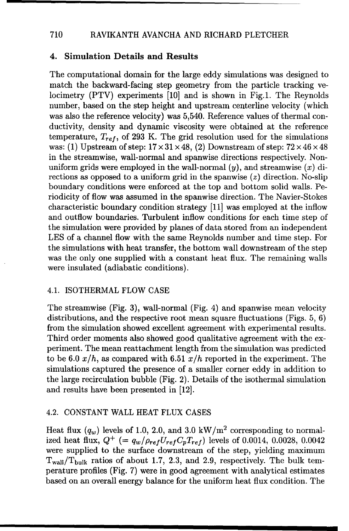### 710 RAVIKANTH AVANCHA AND RICHARD PLETCHER

## 4. Simulation Details and Results

The computational domain for the large eddy simulations was designed to match the backward-facing step geometry from the particle tracking velocimetry (PTV) experiments [10] and is shown in Fig.1. The Reynolds number, based on the step height and upstream centerline velocity (which was also the reference velocity) was  $5,540$ . Reference values of thermal conductivity, density and dynamic viscosity were obtained at the reference temperature, *Tref,* of 293 K. The grid resolution used for the simulations was: (1) Upstream of step:  $17 \times 31 \times 48$ , (2) Downstream of step:  $72 \times 46 \times 48$ in the streamwise, wall-normal and spanwise directions respectively. Nonuniform grids were employed in the wall-normal  $(y)$ , and streamwise  $(x)$  directions as opposed to a uniform grid in the spanwise  $(z)$  direction. No-slip boundary conditions were enforced at the top and bottom solid walls. Periodicity of flow was assumed in the spanwise direction. The Navier-Stokes characteristic boundary condition strategy [11] was employed at the inflow and outflow boundaries. Turbulent inflow conditions for each time step of the simulation were provided by planes of data stored from an independent LES of a channel flow with the same Reynolds number and time step. For the simulations with heat transfer, the bottom wall downstream of the step was the only one supplied with a constant heat flux. The remaining walls were insulated (adiabatic conditions).

### 4.1. ISOTHERMAL FLOW CASE

The streamwise (Fig. 3), wall-normal (Fig. 4) and spanwise mean velocity distributions, and the respective root mean square fluctuations (Figs. 5, 6) from the simulation showed excellent agreement with experimental results. Third order moments also showed good qualitative agreement with the experiment. The mean reattachment length from the simulation was predicted to be 6.0 *x/h,* as compared with 6.51 *x/h* reported in the experiment. The simulations captured the presence of a smaller corner eddy in addition to the large recirculation bubble (Fig. 2). Details of the isothermal simulation and results have been presented in [12].

### 4.2. CONSTANT WALL HEAT FLUX CASES

Heat flux  $(q_w)$  levels of 1.0, 2.0, and 3.0 kW/m<sup>2</sup> corresponding to normalized heat flux,  $Q^{+}$  (=  $q_w/\rho_{ref}U_{ref}C_pT_{ref}$ ) levels of 0.0014, 0.0028, 0.0042 were supplied to the surface downstream of the step, yielding maximum  $T_{wall}/T_{bulk}$  ratios of about 1.7, 2.3, and 2.9, respectively. The bulk temperature profiles (Fig. 7) were in good agreement with analytical estimates based on an overall energy balance for the uniform heat flux condition. The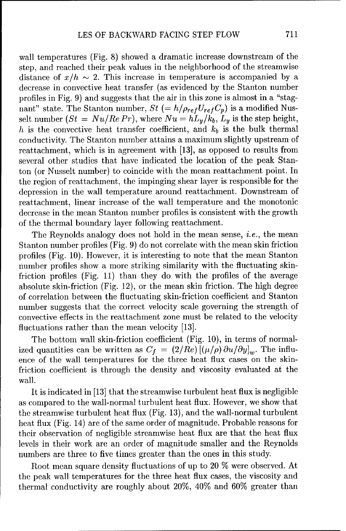wall temperatures (Fig. 8) showed a dramatic increase downstream of the step, and reached their peak values in the neighborhood of the strearnwise distance of  $x/h \sim 2$ . This increase in temperature is accompanied by a decrease in convective heat transfer (as evidenced by the Stanton number profiles in Fig. 9) and suggests that the air in this zone is almost in a "stagnant" state. The Stanton number,  $St (= h/\rho_{ref}U_{ref}C_p)$  is a modified Nusselt number  $(St = Nu/Re Pr)$ , where  $Nu = hL_y/k_b$ ,  $L_y$  is the step height, *h* is the convective heat transfer coefficient, and  $k<sub>b</sub>$  is the bulk thermal conductivity. The Stanton number attains a maximum slightly upstream of reattachment, which is in agreement with [13], as opposed to results from several other studies that have indicated the location of the peak Stanton (or Nusselt number) to coincide with the mean reattachment point. In the region of reattachment, the impinging shear layer is responsible for the depression in the wall temperature around reattachment. Downstream of reattachment, linear increase of the wall temperature and the monotonic decrease in the mean Stanton number profiles is consistent with the growth of the thermal boundary layer following reattachment.

The Reynolds analogy does not hold in the mean sense, *i.e.*, the mean Stanton number profiles (Fig. 9) do not correlate with the mean skin friction profiles (Fig. 10). However, it is interesting to note that the mean Stanton number profiles show a more striking similarity with the fluctuating skinfriction profiles (Fig. 11) than they do with the profiles of the average absolute skin-friction (Fig. 12), or the mean skin friction. The high degree of correlation between the fluctuating skin-friction coefficient and Stanton number suggests that the correct velocity scale governing the strength of convective effects in the reattachment zone must be related to the velocity fluctuations rather than the mean velocity [13].

The bottom wall skin-friction coefficient (Fig. 10), in terms of normalized quantities can be written as  $C_f = (2/Re) [(\mu/\rho) \partial u/\partial y]_w$ . The influence of the wall temperatures for the three heat flux cases on the skinfriction coefficient is through the density and viscosity evaluated at the wall.

It is indicated in [13] that the streamwise turbulent heat flux is negligible as compared to the wall-normal turbulent heat flux. However, we show that the streamwise turbulent heat flux (Fig. 13), and the wall-normal turbulent heat flux (Fig. 14) are of the same order of magnitude. Probable reasons for their observation of negligible streamwise heat flux are that the heat flux levels in their work are an order of magnitude smaller and the Reynolds numbers are three to five times greater than the ones in this study.

Root mean square density fluctuations of up to 20 % were observed. At the peak wall temperatures for the three heat flux cases, the viscosity and thermal conductivity are roughly about 20%, 40% and 60% greater than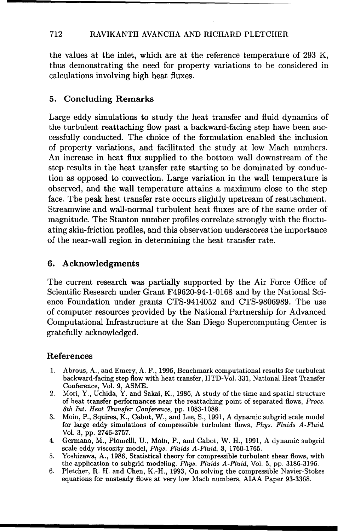#### 712 RAVIKANTH AVANCHA AND RICHARD PLETCHER

the values at the inlet, which are at the reference temperature of 293 K, thus demonstrating the need for property variations to be considered in calculations involving high heat fluxes.

#### 5. Concluding Remarks

Large eddy simulations to study the heat transfer and fluid dynamics of the turbulent reattaching flow past a backward-facing step have been successfully conducted. The choice of the formulation enabled the inclusion of property variations, and facilitated the study at low Mach numbers. An increase in heat flux supplied to the bottom wall downstream of the step results in the heat transfer rate starting to be dominated by conduction as opposed to convection. Large variation in the wall temperature is observed, and the wall temperature attains a maximum close to the step face. The peak heat transfer rate occurs slightly upstream of reattachment. Streamwise and wall-normal turbulent heat fluxes are of the same order of magnitude. The Stanton number profiles correlate strongly with the fluctuating skin-friction profiles, and this observation underscores the importance of the near-wall region in determining the heat transfer rate.

#### 6. Acknowledgments

The current research was partially supported by the Air Force Office of Scientific Research under Grant F49620-94-1-0168 and by the National Science Foundation under grants CTS-9414052 and CTS-9806989. The use of computer resources provided by the National Partnership for Advanced Computational Infrastructure at the San Diego Supercomputing Center is gratefully acknowledged.

#### References

- 1. Abrous, A., and Emery, A. F., 1996, Benchmark computational results for turbulent backward-facing step flow with heat transfer, HTD-Vol. 331, National Heat Transfer Conference, Vol. 9, ASME.
- 2. Mori, Y., Uchida, Y. and Sakai, K., 1986, A study of the time and spatial structure of heat transfer performances near the reattaching point of separated flows, *Procs. 8th Int.* Heat Transfer Conference, pp. 1083-1088.
- 3. Moin, P., Squires, K., Cabot, W., and Lee, S., 1991, A dynamic subgrid scale model for large eddy simulations of compressible turbulent flows, Phys. Fluids A-Fluid, Vol. 3, pp. 2746-2757.
- 4. Germano, M., Piomelli, U., Moin, P., and Cabot, W. H., 1991, A dynamic subgrid scale eddy viscosity model, *Phys. Fluids* A-Fluid, 3, 1760-1765.
- 5. Yoshizawa, A., 1986, Statistical theory for compressible turbulent shear flows, with the application to subgrid modeling. Phys. Fluids A-Fluid, Vol. 5, pp. 3186-3196.
- 6. Pletcher, R. H. and Chen, K.-H., 1993, On solving the compressible Navier-Stokes equations for unsteady flows at very low Mach numbers, AIAA Paper 93-3368.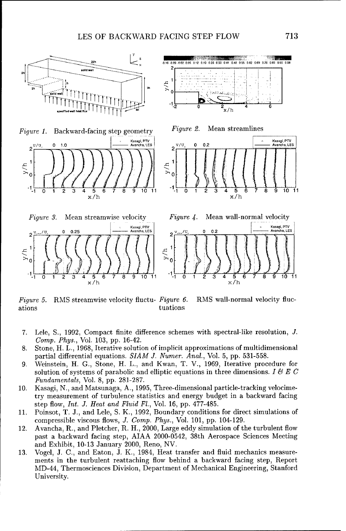

*Figure 5.* RMS streamwise velocity fluctu- *Figure 6.* RMS wall-normal velocity flucations tuations

- **7.** Lele, **S., 1992,** Compact finite difference schemes with spectral-like resolution, *J. Comp. Phys.,* Vol. **103, pp.** 16-42.
- **8.** Stone, H. L., **1968,** Iterative solution of implicit approximations of multidimensional partial differential equations. *SIAM J. Numer. Anal.,* Vol. **5, pp. 531-558.**
- **9.** Weinstein, H. **G.,** Stone, H. L., and Kwan, T. V., **1969,** Iterative procedure for solution of systems of parabolic and elliptic equations in three dimensions.  $I \& E C$ *Fundamentals,* Vol. **8, pp. 281-287.**
- **10.** Kasagi, **N.,** and Matsunaga, **A., 1995,** Three-dimensional particle-tracking velocimetry measurement of turbulence statistics and energy budget in a backward facing step flow, *Int. J. Heat and Fluid Fl.*, Vol. 16, pp. 477-485.
- **11.** Poinsot, T. **J.,** and Lele, **S.** K., 1992, Boundary conditions for direct simulations of compressible viscous flows, *J. Comp. Phys.,* Vol. **101, pp.** 104-129.
- 12. Avancha, R., and Pletcher, R. H., 2000, Large eddy simulation of the turbulent flow past a backward facing step, AIAA 2000-0542, 38th Aerospace Sciences Meeting and Exhibit, **10-13** January 2000, Reno, **NV.**
- **13.** Vogel, **J. C.,** and Eaton, **J.** K., 1984, Heat transfer and fluid mechanics measurements in the turbulent reattaching flow behind a backward facing step, Report MD-44, Thermosciences Division, Department of Mechanical Engineering, Stanford University.